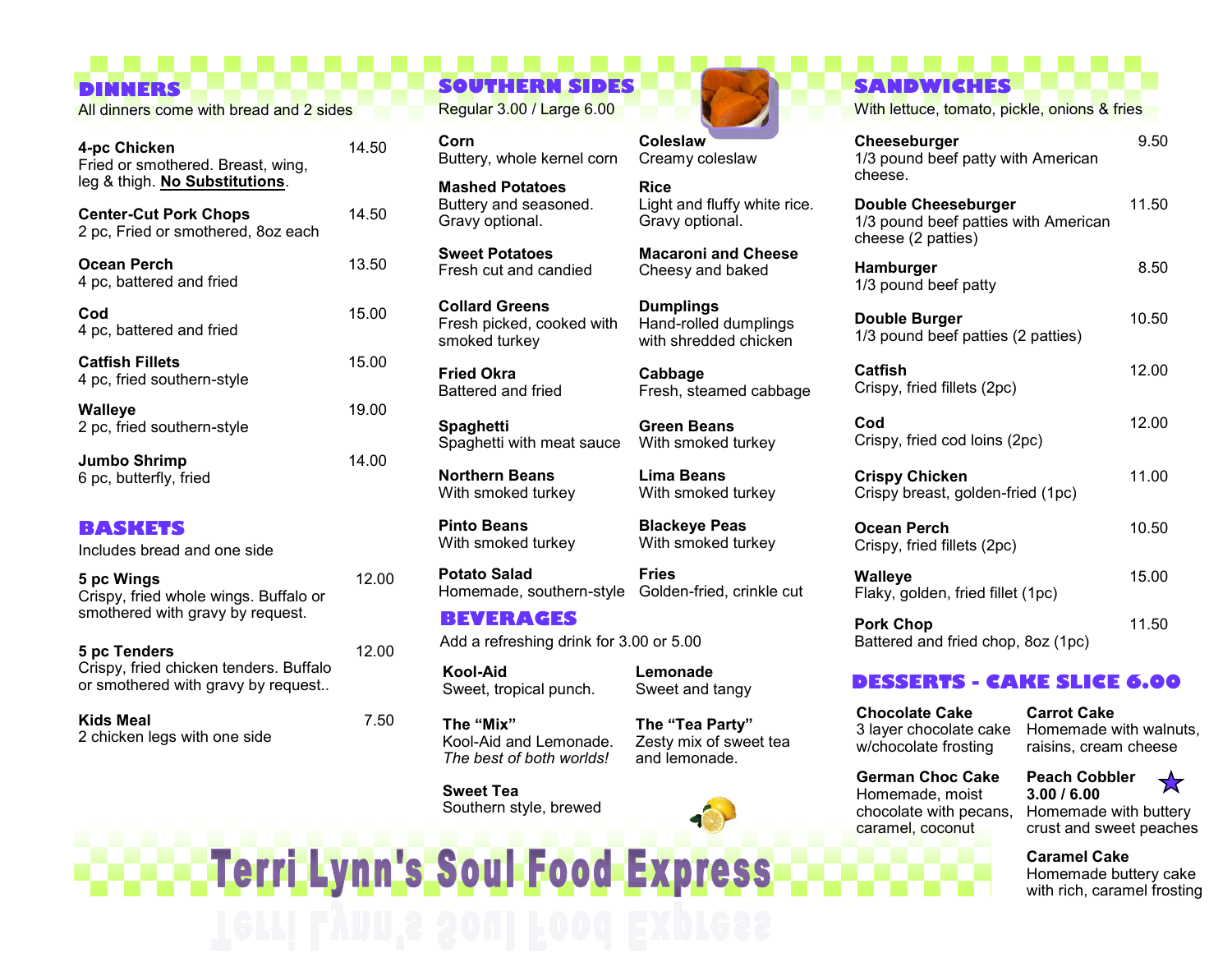# **DINNERS**

All dinners come with bread and 2 sides

| 4-pc Chicken<br>Fried or smothered. Breast, wing,<br>leg & thigh. No Substitutions. | 14.50 |
|-------------------------------------------------------------------------------------|-------|
| <b>Center-Cut Pork Chops</b><br>2 pc, Fried or smothered, 8oz each                  | 14.50 |
| Ocean Perch<br>4 pc, battered and fried                                             | 13.50 |
| Cod<br>4 pc, battered and fried                                                     | 15.00 |
| <b>Catfish Fillets</b><br>4 pc, fried southern-style                                | 15.00 |
| Walleye<br>2 pc, fried southern-style                                               | 19.00 |
| <b>Jumbo Shrimp</b><br>6 pc, butterfly, fried                                       | 14.00 |
|                                                                                     |       |

# **BASKETS**

Includes bread and one side

**5 pc Wings**  Crispy, fried whole wings. Buffalo or smothered with gravy by request.

| 5 pc Tenders                           | 12.00 |
|----------------------------------------|-------|
| Crispy, fried chicken tenders. Buffalo |       |
| or smothered with gravy by request     |       |

**Kids Meal** 2 chicken legs with one side

### **SOUTHERN SIDES**  Regular 3.00 / Large 6.00

**Corn** Buttery, whole kernel corn

**Mashed Potatoes** Buttery and seasoned. Gravy optional.

**Sweet Potatoes** Fresh cut and candied

**Collard Greens** Fresh picked, cooked with smoked turkey

**Fried Okra** Battered and fried

**Spaghetti** Spaghetti with meat sauce

**Northern Beans** With smoked turkey

**Pinto Beans** With smoked turkey

12.00

7.50

**Potato Salad** Homemade, southern-style Golden-fried, crinkle cut

### **BEVERAGES**

Add a refreshing drink for 3.00 or 5.00

**Kool-Aid** Sweet, tropical punch.

**The "Mix"**  Kool-Aid and Lemonade. *The best of both worlds!*

**Sweet Tea** Southern style, brewed



#### **Coleslaw** Creamy coleslaw

**Rice** Light and fluffy white rice. Gravy optional.

**Macaroni and Cheese** Cheesy and baked

**Dumplings** Hand-rolled dumplings with shredded chicken

**Cabbage** Fresh, steamed cabbage

**Green Beans** With smoked turkey

**Lima Beans** With smoked turkey

**Blackeye Peas** With smoked turkey

**Fries**

**SANDWICHES** With lettuce, tomato, pickle, onions & fries

| Cheeseburger<br>1/3 pound beef patty with American<br>cheese.                            | 9.50  |
|------------------------------------------------------------------------------------------|-------|
| <b>Double Cheeseburger</b><br>1/3 pound beef patties with American<br>cheese (2 patties) | 11.50 |
| Hamburger<br>1/3 pound beef patty                                                        | 8.50  |
| Double Burger<br>1/3 pound beef patties (2 patties)                                      | 10.50 |
| Catfish<br>Crispy, fried fillets (2pc)                                                   | 12.00 |
| Cod<br>Crispy, fried cod loins (2pc)                                                     | 12.00 |
| <b>Crispy Chicken</b><br>Crispy breast, golden-fried (1pc)                               | 11.00 |
| Ocean Perch<br>Crispy, fried fillets (2pc)                                               | 10.50 |
| <b>Walleye</b><br>Flaky, golden, fried fillet (1pc)                                      | 15.00 |
| <b>Pork Chop</b><br>Battered and fried chop, 8oz (1pc)                                   | 11.50 |

## **DESSERTS - CAKE SLICE 6.00**

**Chocolate Cake**  3 layer chocolate cake w/chocolate frosting

**Carrot Cake**  Homemade with walnuts, raisins, cream cheese

**German Choc Cake**  Homemade, moist chocolate with pecans, caramel, coconut

**Peach Cobbler** ⋉

**3.00 / 6.00** Homemade with buttery crust and sweet peaches

# **Caramel Cake**

Homemade buttery cake with rich, caramel frosting

# **Terri Lynn's Soul Food Express**

**Lemonade** Sweet and tangy

**The "Tea Party"** Zesty mix of sweet tea

and lemonade.